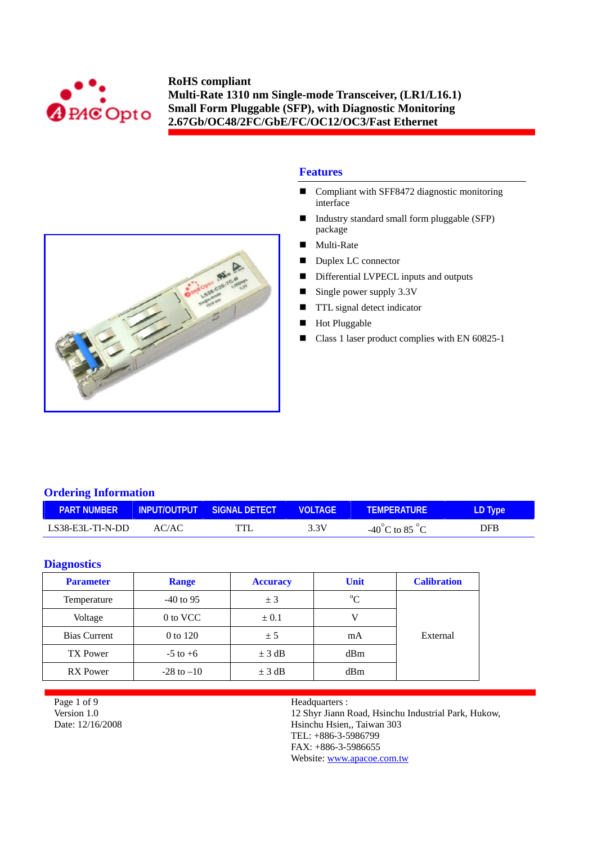



## **Features**

- Compliant with SFF8472 diagnostic monitoring interface
- Industry standard small form pluggable (SFP) package
- Multi-Rate
- Duplex LC connector
- Differential LVPECL inputs and outputs
- Single power supply  $3.3V$
- **TTL** signal detect indicator
- **Hot Pluggable**
- Class 1 laser product complies with EN 60825-1

## **Ordering Information**

| <b>PART NUMBER</b> |       | INPUT/OUTPUT SIGNAL DETECT | <b>VOLTAGE</b> | <b>TEMPERATURE</b>                      | LD Type    |
|--------------------|-------|----------------------------|----------------|-----------------------------------------|------------|
| LS38-E3L-TI-N-DD   | AC/AC | TTI                        | 3.3V           | -40 <sup>°</sup> C to 85 <sup>°</sup> C | <b>DFB</b> |

## **Diagnostics**

| <b>Parameter</b>    | <b>Range</b>   | <b>Accuracy</b> | <b>Unit</b> | <b>Calibration</b> |
|---------------------|----------------|-----------------|-------------|--------------------|
| Temperature         | $-40$ to 95    | ± 3             | $\rm ^{o}C$ |                    |
| Voltage             | 0 to VCC       | $\pm 0.1$       |             |                    |
| <b>Bias Current</b> | 0 to 120       | ± 5             | mA          | External           |
| TX Power            | $-5$ to $+6$   | $\pm$ 3 dB      | dBm         |                    |
| <b>RX</b> Power     | $-28$ to $-10$ | $\pm$ 3 dB      | dBm         |                    |

Page 1 of 9 Version 1.0 Date: 12/16/2008

## Headquarters :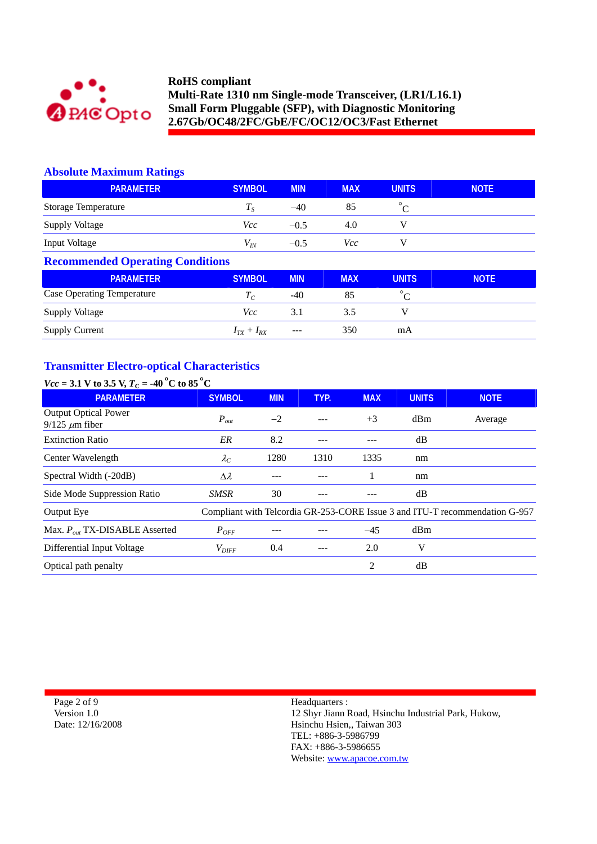

## **Absolute Maximum Ratings**

| <b>PARAMETER</b>           | <b>SYMBOL</b> | <b>MIN</b> | <b>MAX</b> | <b>UNITS</b> | <b>NOTE</b> |
|----------------------------|---------------|------------|------------|--------------|-------------|
| <b>Storage Temperature</b> |               | $-40$      | 85         |              |             |
| <b>Supply Voltage</b>      | Vcc           | $-0.5$     | 4.0        |              |             |
| <b>Input Voltage</b>       | $V_{I\!N}$    | $-0.5$     | Vcc        |              |             |

## **Recommended Operating Conditions**

| <b>PARAMETER</b>                  | <b>SYMBOL</b>     | <b>MIN</b> | <b>MAX</b> | <b>UNITS</b> | <b>NOTE</b> |
|-----------------------------------|-------------------|------------|------------|--------------|-------------|
| <b>Case Operating Temperature</b> | $I_C$             | -40        | 85         |              |             |
| Supply Voltage                    | Vcc               | 3.1        | 3.5        |              |             |
| <b>Supply Current</b>             | $I_{TX} + I_{RX}$ | $---$      | 350        | mA           |             |

# **Transmitter Electro-optical Characteristics**

| $Vcc = 3.1$ V to 3.5 V, $T_c = -40$ °C to 85°C       |                   |            |      |                |                 |                                                                             |
|------------------------------------------------------|-------------------|------------|------|----------------|-----------------|-----------------------------------------------------------------------------|
| <b>PARAMETER</b>                                     | <b>SYMBOL</b>     | <b>MIN</b> | TYP. | <b>MAX</b>     | <b>UNITS</b>    | <b>NOTE</b>                                                                 |
| <b>Output Optical Power</b><br>$9/125 \ \mu m$ fiber | $P_{out}$         | $-2$       |      | $+3$           | dB <sub>m</sub> | Average                                                                     |
| <b>Extinction Ratio</b>                              | ER                | 8.2        |      |                | dB              |                                                                             |
| Center Wavelength                                    | $\lambda_C$       | 1280       | 1310 | 1335           | nm              |                                                                             |
| Spectral Width (-20dB)                               | $\Delta \lambda$  |            |      |                | nm              |                                                                             |
| Side Mode Suppression Ratio                          | SMSR              | 30         |      |                | dB              |                                                                             |
| Output Eye                                           |                   |            |      |                |                 | Compliant with Telcordia GR-253-CORE Issue 3 and ITU-T recommendation G-957 |
| Max. $P_{out}$ TX-DISABLE Asserted                   | $P_{OFF}$         |            |      | $-45$          | dBm             |                                                                             |
| Differential Input Voltage                           | $V_{\text{DIFF}}$ | 0.4        |      | 2.0            | V               |                                                                             |
| Optical path penalty                                 |                   |            |      | $\overline{c}$ | dB              |                                                                             |

Page 2 of 9 Version 1.0 Date: 12/16/2008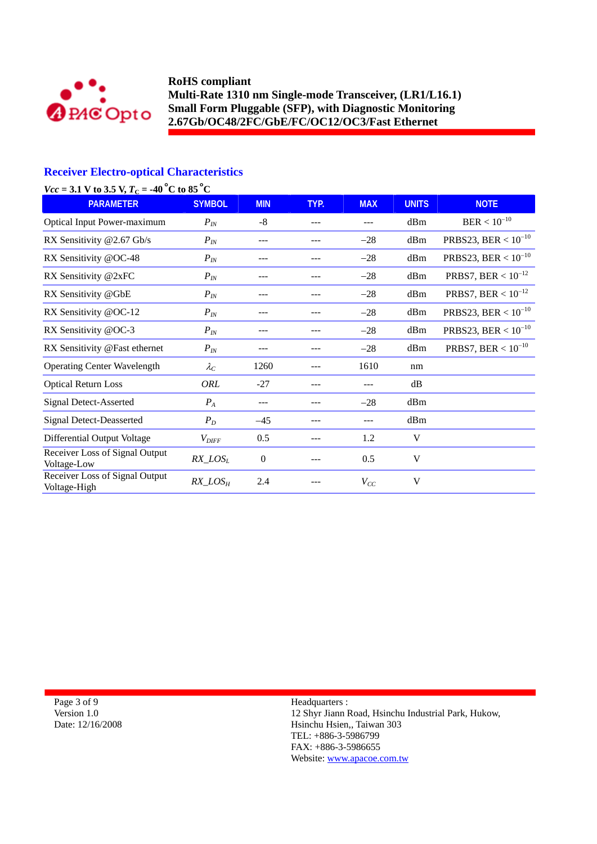

## **Receiver Electro-optical Characteristics**

| $Vcc = 3.1$ V to 3.5 V, $T_C = -40$ °C to 85 °C |                   |              |       |            |              |                          |
|-------------------------------------------------|-------------------|--------------|-------|------------|--------------|--------------------------|
| <b>PARAMETER</b>                                | <b>SYMBOL</b>     | <b>MIN</b>   | TYP.  | <b>MAX</b> | <b>UNITS</b> | <b>NOTE</b>              |
| <b>Optical Input Power-maximum</b>              | $P_{I\!N}$        | $-8$         | ---   |            | dBm          | $\mbox{BER}<10^{-10}$    |
| RX Sensitivity @2.67 Gb/s                       | $P_{IN}$          | ---          | ---   | $-28$      | dBm          | PRBS23, BER < $10^{-10}$ |
| RX Sensitivity @OC-48                           | $P_{IN}$          | ---          | ---   | $-28$      | dBm          | PRBS23, BER < $10^{-10}$ |
| RX Sensitivity @2xFC                            | $P_{IN}$          | ---          |       | $-28$      | dBm          | PRBS7, BER < $10^{-12}$  |
| RX Sensitivity @GbE                             | $P_{IN}$          |              |       | $-28$      | dBm          | PRBS7, BER < $10^{-12}$  |
| RX Sensitivity @OC-12                           | $P_{IN}$          |              |       | $-28$      | dBm          | PRBS23, BER < $10^{-10}$ |
| RX Sensitivity @OC-3                            | $P_{IN}$          | ---          | ---   | $-28$      | dBm          | PRBS23, BER < $10^{-10}$ |
| RX Sensitivity @Fast ethernet                   | $P_{I\!N}$        |              |       | $-28$      | dBm          | PRBS7, BER < $10^{-10}$  |
| <b>Operating Center Wavelength</b>              | $\lambda_C$       | 1260         | ---   | 1610       | nm           |                          |
| <b>Optical Return Loss</b>                      | ORL               | $-27$        | $---$ | ---        | dB           |                          |
| <b>Signal Detect-Asserted</b>                   | $P_A$             | ---          |       | $-28$      | dBm          |                          |
| <b>Signal Detect-Deasserted</b>                 | $P_D$             | $-45$        |       | ---        | dBm          |                          |
| Differential Output Voltage                     | $V_{\text{DIFF}}$ | 0.5          | ---   | 1.2        | V            |                          |
| Receiver Loss of Signal Output<br>Voltage-Low   | $RX\_LOS_L$       | $\mathbf{0}$ |       | 0.5        | V            |                          |
| Receiver Loss of Signal Output<br>Voltage-High  | $RX\_LOS_H$       | 2.4          |       | $V_{CC}$   | V            |                          |

Page 3 of 9 Version 1.0 Date: 12/16/2008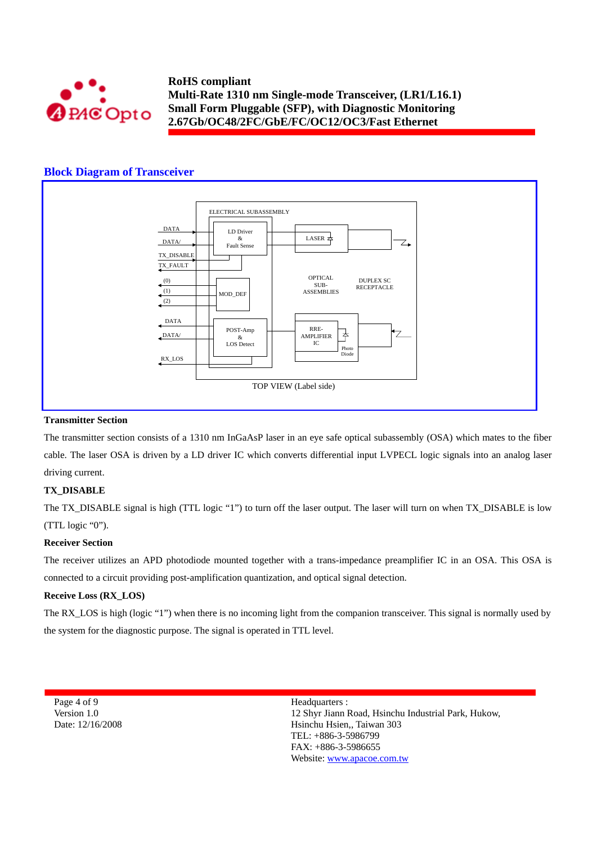

#### **Block Diagram of Transceiver**



#### **Transmitter Section**

The transmitter section consists of a 1310 nm InGaAsP laser in an eye safe optical subassembly (OSA) which mates to the fiber cable. The laser OSA is driven by a LD driver IC which converts differential input LVPECL logic signals into an analog laser driving current.

#### **TX\_DISABLE**

The TX\_DISABLE signal is high (TTL logic "1") to turn off the laser output. The laser will turn on when TX\_DISABLE is low (TTL logic "0").

#### **Receiver Section**

The receiver utilizes an APD photodiode mounted together with a trans-impedance preamplifier IC in an OSA. This OSA is connected to a circuit providing post-amplification quantization, and optical signal detection.

#### **Receive Loss (RX\_LOS)**

The RX\_LOS is high (logic "1") when there is no incoming light from the companion transceiver. This signal is normally used by the system for the diagnostic purpose. The signal is operated in TTL level.

Page 4 of 9 Version 1.0 Date: 12/16/2008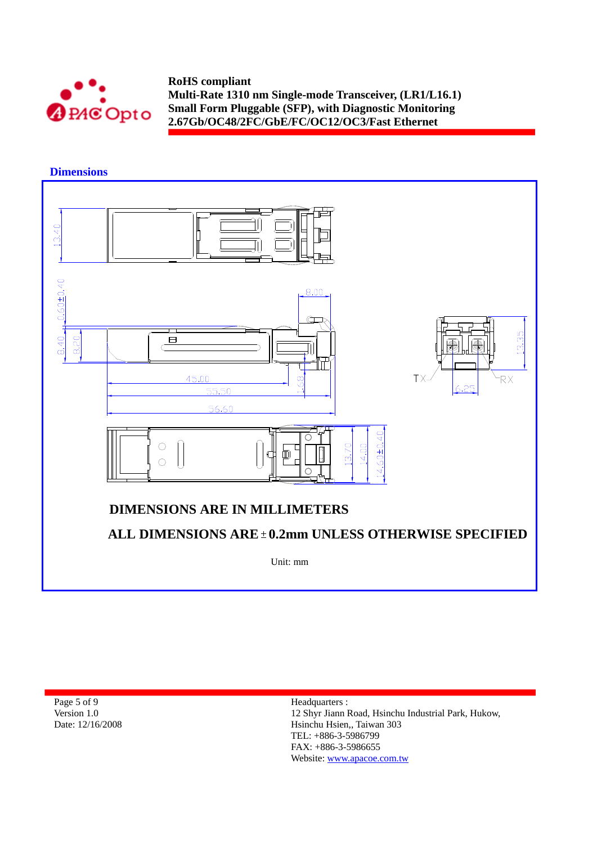

 **Dimensions** 



| Page 5 of 9      |
|------------------|
| Version 1.0      |
| Date: 12/16/2008 |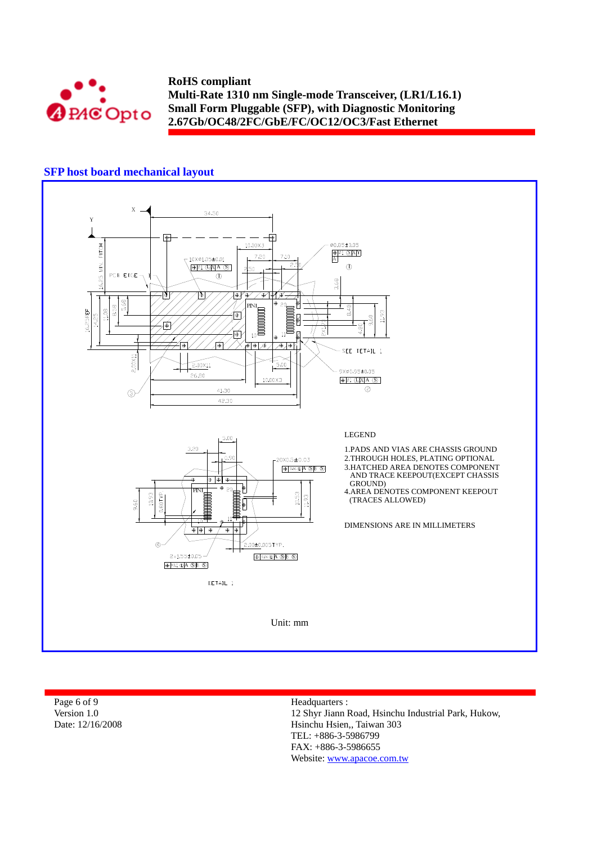

## **SFP host board mechanical layout**



| Page 6 of 9      | Headquarters :                                      |
|------------------|-----------------------------------------------------|
| Version 1.0      | 12 Shyr Jiann Road, Hsinchu Industrial Park, Hukow, |
| Date: 12/16/2008 | Hsinchu Hsien., Taiwan 303                          |
|                  | TEL: $+886-3-5986799$                               |
|                  |                                                     |

FAX: +886-3-5986655 Website: www.apacoe.com.tw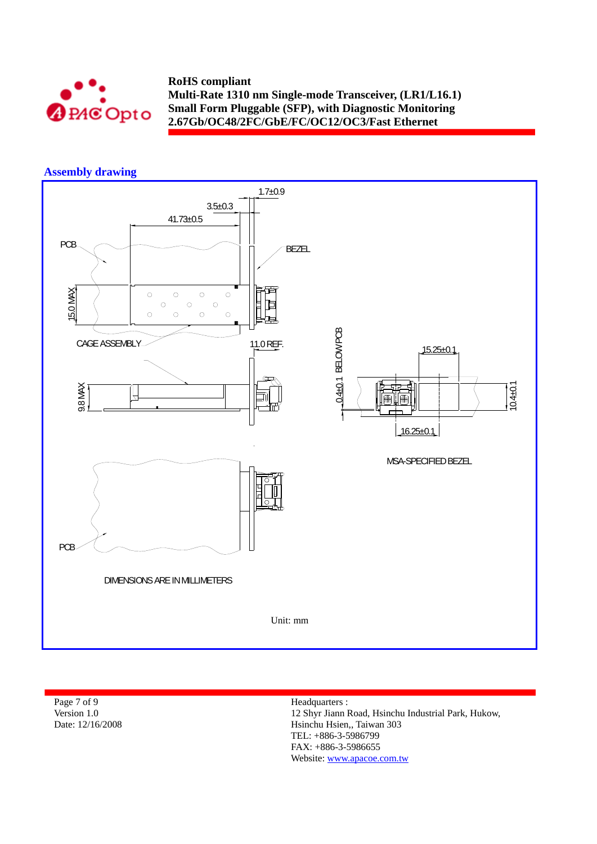

# **Assembly drawing**



| Page 7 of 9      | Headquarters :                                      |
|------------------|-----------------------------------------------------|
| Version 1.0      | 12 Shyr Jiann Road, Hsinchu Industrial Park, Hukow, |
| Date: 12/16/2008 | Hsinchu Hsien., Taiwan 303                          |
|                  | $TEL: +886-3-5986799$                               |
|                  |                                                     |

FAX: +886-3-5986655 Website: www.apacoe.com.tw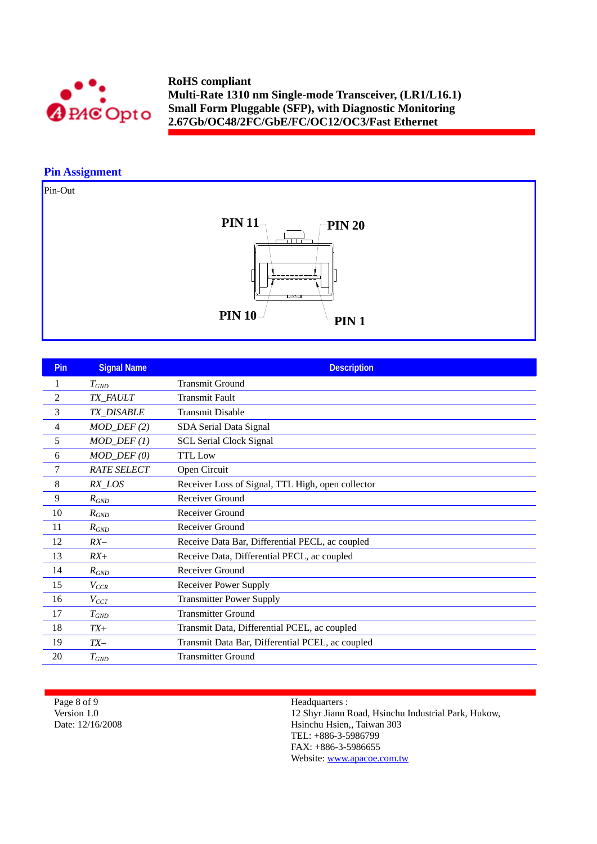

## **Pin Assignment**

Pin-Out



| <b>Pin</b>     | <b>Signal Name</b>      | <b>Description</b>                                |
|----------------|-------------------------|---------------------------------------------------|
| 1              | $T_{GND}$               | <b>Transmit Ground</b>                            |
| $\overline{c}$ | TX_FAULT                | <b>Transmit Fault</b>                             |
| 3              | <b>TX DISABLE</b>       | <b>Transmit Disable</b>                           |
| 4              | $MOD_$ DEF(2)           | SDA Serial Data Signal                            |
| 5              | $MOD_DEF(1)$            | <b>SCL Serial Clock Signal</b>                    |
| 6              | $MOD_$ <i>DEF</i> $(0)$ | <b>TTL Low</b>                                    |
| 7              | <b>RATE SELECT</b>      | Open Circuit                                      |
| 8              | RX_LOS                  | Receiver Loss of Signal, TTL High, open collector |
| 9              | $R_{GND}$               | Receiver Ground                                   |
| 10             | $R_{GND}$               | Receiver Ground                                   |
| 11             | $R_{GND}$               | Receiver Ground                                   |
| 12             | $RX-$                   | Receive Data Bar, Differential PECL, ac coupled   |
| 13             | $RX+$                   | Receive Data, Differential PECL, ac coupled       |
| 14             | $R_{GND}$               | Receiver Ground                                   |
| 15             | $V_{CCR}$               | <b>Receiver Power Supply</b>                      |
| 16             | $V_{CCT}$               | <b>Transmitter Power Supply</b>                   |
| 17             | $T_{GND}$               | <b>Transmitter Ground</b>                         |
| 18             | $TX+$                   | Transmit Data, Differential PCEL, ac coupled      |
| 19             | $TX-$                   | Transmit Data Bar, Differential PCEL, ac coupled  |
| 20             | $T_{GND}$               | <b>Transmitter Ground</b>                         |

Page 8 of 9 Version 1.0 Date: 12/16/2008